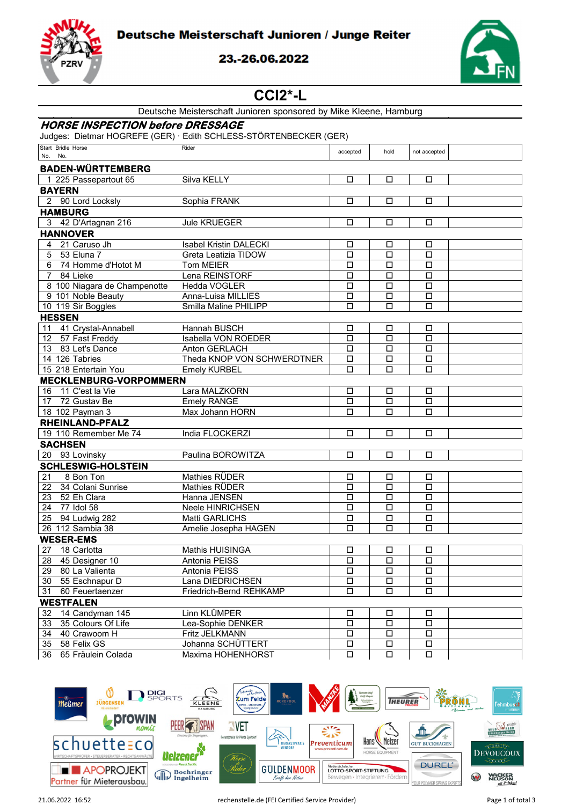Deutsche Meisterschaft Junioren / Junge Reiter



## 23.-26.06.2022



# $CCI2$ <sup>\*</sup>-L

| <b>HORSE INSPECTION before DRESSAGE</b><br>Judges: Dietmar HOGREFE (GER) · Edith SCHLESS-STÖRTENBECKER (GER)<br>Start Bridle Horse<br>Rider<br>accepted<br>hold<br>not accepted<br>No. No.<br><b>BADEN-WÜRTTEMBERG</b><br>Silva KELLY<br>1 225 Passepartout 65<br>□<br>□<br>□<br><b>BAYERN</b><br>2 90 Lord Locksly<br>Sophia FRANK<br>$\Box$<br>$\Box$<br>$\Box$<br><b>HAMBURG</b><br>3 42 D'Artagnan 216<br><b>Jule KRUEGER</b><br>□<br>□<br>□<br><b>HANNOVER</b><br>21 Caruso Jh<br><b>Isabel Kristin DALECKI</b><br>4<br>□<br>□<br>□<br>53 Eluna 7<br>5<br>Greta Leatizia TIDOW<br>$\Box$<br>$\Box$<br>$\Box$<br>74 Homme d'Hotot M<br>6<br><b>Tom MEIER</b><br>□<br>□<br>□<br>84 Lieke<br>$7^{\circ}$<br>Lena REINSTORF<br>$\Box$<br>□<br>□ |
|--------------------------------------------------------------------------------------------------------------------------------------------------------------------------------------------------------------------------------------------------------------------------------------------------------------------------------------------------------------------------------------------------------------------------------------------------------------------------------------------------------------------------------------------------------------------------------------------------------------------------------------------------------------------------------------------------------------------------------------------------|
|                                                                                                                                                                                                                                                                                                                                                                                                                                                                                                                                                                                                                                                                                                                                                  |
|                                                                                                                                                                                                                                                                                                                                                                                                                                                                                                                                                                                                                                                                                                                                                  |
|                                                                                                                                                                                                                                                                                                                                                                                                                                                                                                                                                                                                                                                                                                                                                  |
|                                                                                                                                                                                                                                                                                                                                                                                                                                                                                                                                                                                                                                                                                                                                                  |
|                                                                                                                                                                                                                                                                                                                                                                                                                                                                                                                                                                                                                                                                                                                                                  |
|                                                                                                                                                                                                                                                                                                                                                                                                                                                                                                                                                                                                                                                                                                                                                  |
|                                                                                                                                                                                                                                                                                                                                                                                                                                                                                                                                                                                                                                                                                                                                                  |
|                                                                                                                                                                                                                                                                                                                                                                                                                                                                                                                                                                                                                                                                                                                                                  |
|                                                                                                                                                                                                                                                                                                                                                                                                                                                                                                                                                                                                                                                                                                                                                  |
|                                                                                                                                                                                                                                                                                                                                                                                                                                                                                                                                                                                                                                                                                                                                                  |
|                                                                                                                                                                                                                                                                                                                                                                                                                                                                                                                                                                                                                                                                                                                                                  |
|                                                                                                                                                                                                                                                                                                                                                                                                                                                                                                                                                                                                                                                                                                                                                  |
|                                                                                                                                                                                                                                                                                                                                                                                                                                                                                                                                                                                                                                                                                                                                                  |
|                                                                                                                                                                                                                                                                                                                                                                                                                                                                                                                                                                                                                                                                                                                                                  |
|                                                                                                                                                                                                                                                                                                                                                                                                                                                                                                                                                                                                                                                                                                                                                  |
| 8 100 Niagara de Champenotte<br>Hedda VOGLER<br>$\Box$<br>□<br>$\Box$                                                                                                                                                                                                                                                                                                                                                                                                                                                                                                                                                                                                                                                                            |
| 9 101 Noble Beauty<br>Anna-Luisa MILLIES<br>□<br>$\Box$<br>□                                                                                                                                                                                                                                                                                                                                                                                                                                                                                                                                                                                                                                                                                     |
| Smilla Maline PHILIPP<br>10 119 Sir Boggles<br>□<br>□<br>□                                                                                                                                                                                                                                                                                                                                                                                                                                                                                                                                                                                                                                                                                       |
| <b>HESSEN</b>                                                                                                                                                                                                                                                                                                                                                                                                                                                                                                                                                                                                                                                                                                                                    |
| 11 41 Crystal-Annabell<br>Hannah BUSCH<br>$\Box$<br>$\Box$<br>$\Box$                                                                                                                                                                                                                                                                                                                                                                                                                                                                                                                                                                                                                                                                             |
| 12 57 Fast Freddy<br>Isabella VON ROEDER<br>$\Box$<br>□<br>□                                                                                                                                                                                                                                                                                                                                                                                                                                                                                                                                                                                                                                                                                     |
| 13 83 Let's Dance<br>Anton GERLACH<br>□<br>□<br>□                                                                                                                                                                                                                                                                                                                                                                                                                                                                                                                                                                                                                                                                                                |
| 14 126 Tabries<br>Theda KNOP VON SCHWERDTNER<br>$\Box$<br>$\Box$<br>$\Box$                                                                                                                                                                                                                                                                                                                                                                                                                                                                                                                                                                                                                                                                       |
| 15 218 Entertain You<br><b>Emely KURBEL</b><br>□<br>□<br>□                                                                                                                                                                                                                                                                                                                                                                                                                                                                                                                                                                                                                                                                                       |
| <b>MECKLENBURG-VORPOMMERN</b>                                                                                                                                                                                                                                                                                                                                                                                                                                                                                                                                                                                                                                                                                                                    |
| 16 11 C'est la Vie<br>Lara MALZKORN<br>□<br>□<br>□                                                                                                                                                                                                                                                                                                                                                                                                                                                                                                                                                                                                                                                                                               |
| 72 Gustav Be<br><b>Emely RANGE</b><br>17<br>$\Box$<br>□<br>□                                                                                                                                                                                                                                                                                                                                                                                                                                                                                                                                                                                                                                                                                     |
| Max Johann HORN<br>18 102 Payman 3<br>□<br>□<br>□                                                                                                                                                                                                                                                                                                                                                                                                                                                                                                                                                                                                                                                                                                |
| RHEINLAND-PFALZ                                                                                                                                                                                                                                                                                                                                                                                                                                                                                                                                                                                                                                                                                                                                  |
| 19 110 Remember Me 74<br>India FLOCKERZI<br>□<br>$\Box$<br>□                                                                                                                                                                                                                                                                                                                                                                                                                                                                                                                                                                                                                                                                                     |
| <b>SACHSEN</b>                                                                                                                                                                                                                                                                                                                                                                                                                                                                                                                                                                                                                                                                                                                                   |
| 20 93 Lovinsky<br>Paulina BOROWITZA<br>□<br>□<br>□                                                                                                                                                                                                                                                                                                                                                                                                                                                                                                                                                                                                                                                                                               |
| <b>SCHLESWIG-HOLSTEIN</b>                                                                                                                                                                                                                                                                                                                                                                                                                                                                                                                                                                                                                                                                                                                        |
| Mathies RÜDER<br>21<br>8 Bon Ton<br>□<br>□<br>□                                                                                                                                                                                                                                                                                                                                                                                                                                                                                                                                                                                                                                                                                                  |
| 22<br>34 Colani Sunrise<br>Mathies RÜDER<br>$\Box$<br>$\Box$<br>□                                                                                                                                                                                                                                                                                                                                                                                                                                                                                                                                                                                                                                                                                |
| 23 52 Eh Clara<br>Hanna JENSEN<br>□<br>$\Box$<br>□                                                                                                                                                                                                                                                                                                                                                                                                                                                                                                                                                                                                                                                                                               |
| 24 77 Idol 58<br>Neele HINRICHSEN<br>$\Box$<br>□<br>□                                                                                                                                                                                                                                                                                                                                                                                                                                                                                                                                                                                                                                                                                            |
| 25 94 Ludwig 282<br>Matti GARLICHS<br>$\Box$<br>□<br>□                                                                                                                                                                                                                                                                                                                                                                                                                                                                                                                                                                                                                                                                                           |
| 26 112 Sambia 38<br>$\Box$<br>□<br>□<br>Amelie Josepha HAGEN                                                                                                                                                                                                                                                                                                                                                                                                                                                                                                                                                                                                                                                                                     |
| <b>WESER-EMS</b>                                                                                                                                                                                                                                                                                                                                                                                                                                                                                                                                                                                                                                                                                                                                 |
| 27<br>18 Carlotta<br>Mathis HUISINGA<br>□<br>□<br>□                                                                                                                                                                                                                                                                                                                                                                                                                                                                                                                                                                                                                                                                                              |
| 28 45 Designer 10<br>Antonia PEISS<br>□<br>$\Box$<br>$\Box$                                                                                                                                                                                                                                                                                                                                                                                                                                                                                                                                                                                                                                                                                      |
| 29 80 La Valienta<br>Antonia PEISS<br>$\Box$<br>$\Box$<br>$\Box$                                                                                                                                                                                                                                                                                                                                                                                                                                                                                                                                                                                                                                                                                 |
| $\Box$<br>30 55 Eschnapur D<br>Lana DIEDRICHSEN<br>$\Box$<br>$\Box$                                                                                                                                                                                                                                                                                                                                                                                                                                                                                                                                                                                                                                                                              |
| 31<br>60 Feuertaenzer<br>Friedrich-Bernd REHKAMP<br>$\Box$<br>$\Box$<br>$\Box$                                                                                                                                                                                                                                                                                                                                                                                                                                                                                                                                                                                                                                                                   |
| <b>WESTFALEN</b>                                                                                                                                                                                                                                                                                                                                                                                                                                                                                                                                                                                                                                                                                                                                 |
| 32<br>14 Candyman 145<br>Linn KLÜMPER<br>□<br>□<br>□                                                                                                                                                                                                                                                                                                                                                                                                                                                                                                                                                                                                                                                                                             |
| 35 Colours Of Life<br>33<br>Lea-Sophie DENKER<br>□<br>О<br>□                                                                                                                                                                                                                                                                                                                                                                                                                                                                                                                                                                                                                                                                                     |
| Fritz JELKMANN<br>34 40 Crawoom H<br>$\Box$<br>$\Box$<br>О                                                                                                                                                                                                                                                                                                                                                                                                                                                                                                                                                                                                                                                                                       |
| 35 58 Felix GS<br>Johanna SCHÜTTERT<br>$\Box$<br>$\Box$<br>$\Box$                                                                                                                                                                                                                                                                                                                                                                                                                                                                                                                                                                                                                                                                                |
| 36 65 Fräulein Colada<br>Maxima HOHENHORST<br>$\Box$<br>$\Box$<br>$\Box$                                                                                                                                                                                                                                                                                                                                                                                                                                                                                                                                                                                                                                                                         |

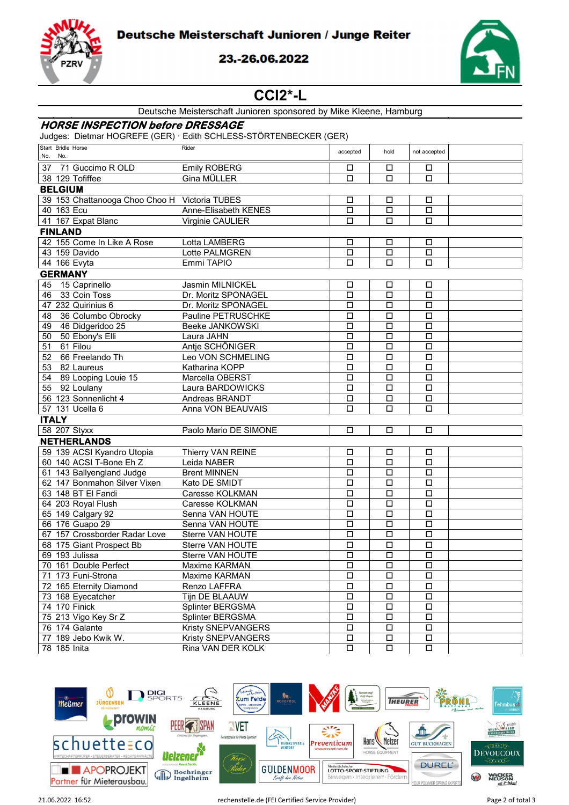Deutsche Meisterschaft Junioren / Junge Reiter



### 23.-26.06.2022



# **CCI2\*-L**

| Deutsche Meisterschaft Junioren sponsored by Mike Kleene, Hamburg |  |  |
|-------------------------------------------------------------------|--|--|
|-------------------------------------------------------------------|--|--|

#### **HORSE INSPECTION before DRESSAGE**

Judges: Dietmar HOGREFE (GER) · Edith SCHLESS-STÖRTENBECKER (GER)

| Start Bridle Horse<br>No. No.                 | Rider                 | accepted | hold                 | not accepted |  |
|-----------------------------------------------|-----------------------|----------|----------------------|--------------|--|
| 37<br>71 Guccimo R OLD                        | <b>Emily ROBERG</b>   | □        | □                    | □            |  |
| 38 129 Tofiffee                               | Gina MÜLLER           | $\Box$   | $\Box$               | $\Box$       |  |
| <b>BELGIUM</b>                                |                       |          |                      |              |  |
| 39 153 Chattanooga Choo Choo H Victoria TUBES |                       | □        | □                    | □            |  |
| 40 163 Ecu                                    | Anne-Elisabeth KENES  | $\Box$   | $\Box$               | $\Box$       |  |
| 41 167 Expat Blanc                            | Virginie CAULIER      | □        | □                    | □            |  |
| <b>FINLAND</b>                                |                       |          |                      |              |  |
| 42 155 Come In Like A Rose                    | Lotta LAMBERG         | □        | □                    | □            |  |
| 43 159 Davido                                 | Lotte PALMGREN        | $\Box$   | $\Box$               | $\Box$       |  |
| 44 166 Evyta                                  | Emmi TAPIO            | □        | □                    | □            |  |
|                                               |                       |          |                      |              |  |
| <b>GERMANY</b>                                |                       |          |                      |              |  |
| 15 Caprinello<br>45                           | Jasmin MILNICKEL      | □        | □                    | $\Box$       |  |
| 46<br>33 Coin Toss                            | Dr. Moritz SPONAGEL   | $\Box$   | $\Box$               | $\Box$       |  |
| 47 232 Quirinius 6                            | Dr. Moritz SPONAGEL   | $\Box$   | $\Box$               | $\Box$       |  |
| 48 36 Columbo Obrocky                         | Pauline PETRUSCHKE    | $\Box$   | $\Box$               | $\Box$       |  |
| 49 46 Didgeridoo 25                           | Beeke JANKOWSKI       | $\Box$   | $\overline{\square}$ | $\Box$       |  |
| 50 Ebony's Elli<br>50                         | Laura JAHN            | $\Box$   | $\Box$               | $\Box$       |  |
| $\overline{51}$<br>61 Filou                   | Antje SCHÖNIGER       | $\Box$   | $\Box$               | $\Box$       |  |
| 66 Freelando Th<br>52                         | Leo VON SCHMELING     | □        | □                    | $\Box$       |  |
| 53 82 Laureus                                 | Katharina KOPP        | $\Box$   | $\Box$               | $\Box$       |  |
| 54 89 Looping Louie 15                        | Marcella OBERST       | $\Box$   | $\Box$               | $\Box$       |  |
| 92 Loulany<br>55                              | Laura BARDOWICKS      | $\Box$   | $\Box$               | $\Box$       |  |
| 56 123 Sonnenlicht 4                          | Andreas BRANDT        | $\Box$   | $\Box$               | $\Box$       |  |
| 57 131 Ucella 6                               | Anna VON BEAUVAIS     | $\Box$   | $\Box$               | $\Box$       |  |
| <b>ITALY</b>                                  |                       |          |                      |              |  |
| 58 207 Styxx                                  | Paolo Mario DE SIMONE | □        | □                    | □            |  |
| <b>NETHERLANDS</b>                            |                       |          |                      |              |  |
| 59 139 ACSI Kyandro Utopia                    | Thierry VAN REINE     | □        | □                    | □            |  |
| 60 140 ACSI T-Bone Eh Z                       | Leida NABER           | $\Box$   | $\Box$               | $\Box$       |  |
| 61 143 Ballyengland Judge                     | <b>Brent MINNEN</b>   | □        | □                    | $\Box$       |  |
| 62 147 Bonmahon Silver Vixen                  | Kato DE SMIDT         | $\Box$   | □                    | $\Box$       |  |
| 63 148 BT El Fandi                            | Caresse KOLKMAN       | $\Box$   | $\Box$               | $\Box$       |  |
| 64 203 Royal Flush                            | Caresse KOLKMAN       | $\Box$   | $\Box$               | $\Box$       |  |
| 65 149 Calgary 92                             | Senna VAN HOUTE       | $\Box$   | $\Box$               | $\Box$       |  |
| 66 176 Guapo 29                               | Senna VAN HOUTE       | □        | □                    | $\Box$       |  |
| 67 157 Crossborder Radar Love                 | Sterre VAN HOUTE      | $\Box$   | $\Box$               | $\Box$       |  |
| 68 175 Giant Prospect Bb                      | Sterre VAN HOUTE      | $\Box$   | $\Box$               | $\Box$       |  |
| 69 193 Julissa                                | Sterre VAN HOUTE      | $\Box$   | $\Box$               | $\Box$       |  |
| 70 161 Double Perfect                         | Maxime KARMAN         | $\Box$   | $\Box$               | $\Box$       |  |
| 71 173 Funi-Strona                            | Maxime KARMAN         | □        | □                    | □            |  |
| 72 165 Eternity Diamond                       | Renzo LAFFRA          | $\Box$   | $\Box$               | $\Box$       |  |
| 73 168 Eyecatcher                             | Tijn DE BLAAUW        | $\Box$   | $\Box$               | □            |  |
| 74 170 Finick                                 | Splinter BERGSMA      | $\Box$   | $\Box$               | $\Box$       |  |
| 75 213 Vigo Key Sr Z                          | Splinter BERGSMA      | $\Box$   | $\Box$               | $\Box$       |  |
| 76 174 Galante                                | Kristy SNEPVANGERS    | $\Box$   | $\Box$               | $\Box$       |  |
| 77 189 Jebo Kwik W.                           | Kristy SNEPVANGERS    | $\Box$   | □                    | □            |  |
| 78 185 Inita                                  | Rina VAN DER KOLK     | $\Box$   | $\Box$               | □            |  |